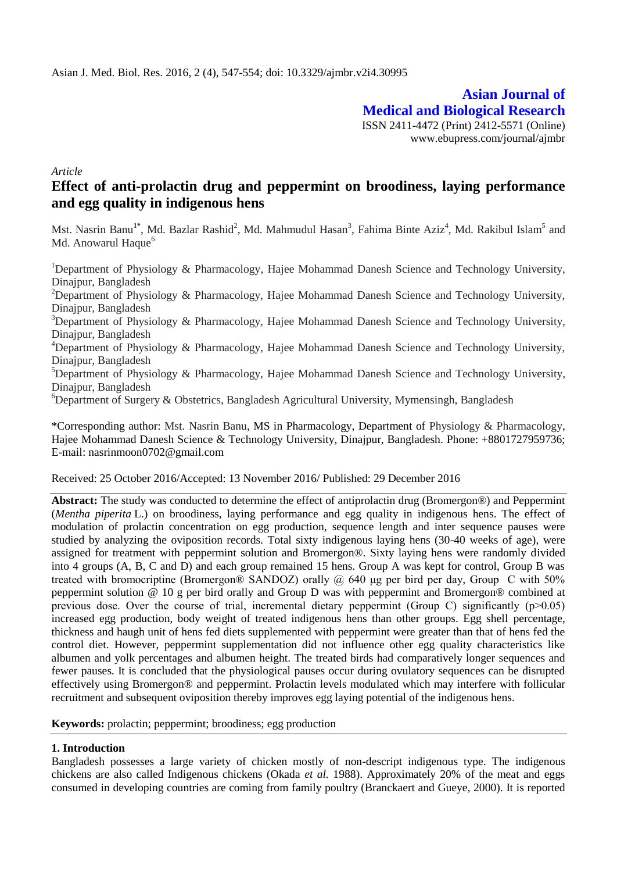**Asian Journal of Medical and Biological Research** ISSN 2411-4472 (Print) 2412-5571 (Online) www.ebupress.com/journal/ajmbr

*Article*

# **Effect of anti-prolactin drug and peppermint on broodiness, laying performance and egg quality in indigenous hens**

Mst. Nasrin Banu<sup>1\*</sup>, Md. Bazlar Rashid<sup>2</sup>, Md. Mahmudul Hasan<sup>3</sup>, Fahima Binte Aziz<sup>4</sup>, Md. Rakibul Islam<sup>5</sup> and Md. Anowarul Haque<sup>6</sup>

<sup>1</sup>Department of Physiology & Pharmacology, Hajee Mohammad Danesh Science and Technology University, Dinajpur, Bangladesh <sup>2</sup>Department of Physiology & Pharmacology, Hajee Mohammad Danesh Science and Technology University, Dinajpur, Bangladesh <sup>3</sup>Department of Physiology & Pharmacology, Hajee Mohammad Danesh Science and Technology University, Dinajpur, Bangladesh <sup>4</sup>Department of Physiology & Pharmacology, Hajee Mohammad Danesh Science and Technology University, Dinajpur, Bangladesh  $5$ Department of Physiology & Pharmacology, Hajee Mohammad Danesh Science and Technology University, Dinajpur, Bangladesh  ${}^{6}$ Department of Surgery & Obstetrics, Bangladesh Agricultural University, Mymensingh, Bangladesh

\*Corresponding author: Mst. Nasrin Banu, MS in Pharmacology, Department of Physiology & Pharmacology, Hajee Mohammad Danesh Science & Technology University, Dinajpur, Bangladesh. Phone: +8801727959736; E-mail: nasrinmoon0702@gmail.com

Received: 25 October 2016/Accepted: 13 November 2016/ Published: 29 December 2016

**Abstract:** The study was conducted to determine the effect of antiprolactin drug (Bromergon®) and Peppermint (*Mentha piperita* L.) on broodiness, laying performance and egg quality in indigenous hens. The effect of modulation of prolactin concentration on egg production, sequence length and inter sequence pauses were studied by analyzing the oviposition records. Total sixty indigenous laying hens (30-40 weeks of age), were assigned for treatment with peppermint solution and Bromergon®. Sixty laying hens were randomly divided into 4 groups (A, B, C and D) and each group remained 15 hens. Group A was kept for control, Group B was treated with bromocriptine (Bromergon® SANDOZ) orally @ 640 μg per bird per day, Group C with 50% peppermint solution @ 10 g per bird orally and Group D was with peppermint and Bromergon® combined at previous dose. Over the course of trial, incremental dietary peppermint (Group C) significantly  $(p>0.05)$ increased egg production, body weight of treated indigenous hens than other groups. Egg shell percentage, thickness and haugh unit of hens fed diets supplemented with peppermint were greater than that of hens fed the control diet. However, peppermint supplementation did not influence other egg quality characteristics like albumen and yolk percentages and albumen height. The treated birds had comparatively longer sequences and fewer pauses. It is concluded that the physiological pauses occur during ovulatory sequences can be disrupted effectively using Bromergon® and peppermint. Prolactin levels modulated which may interfere with follicular recruitment and subsequent oviposition thereby improves egg laying potential of the indigenous hens.

**Keywords:** prolactin; peppermint; broodiness; egg production

## **1. Introduction**

Bangladesh possesses a large variety of chicken mostly of non-descript indigenous type. The indigenous chickens are also called Indigenous chickens (Okada *et al.* 1988). Approximately 20% of the meat and eggs consumed in developing countries are coming from family poultry (Branckaert and Gueye, 2000). It is reported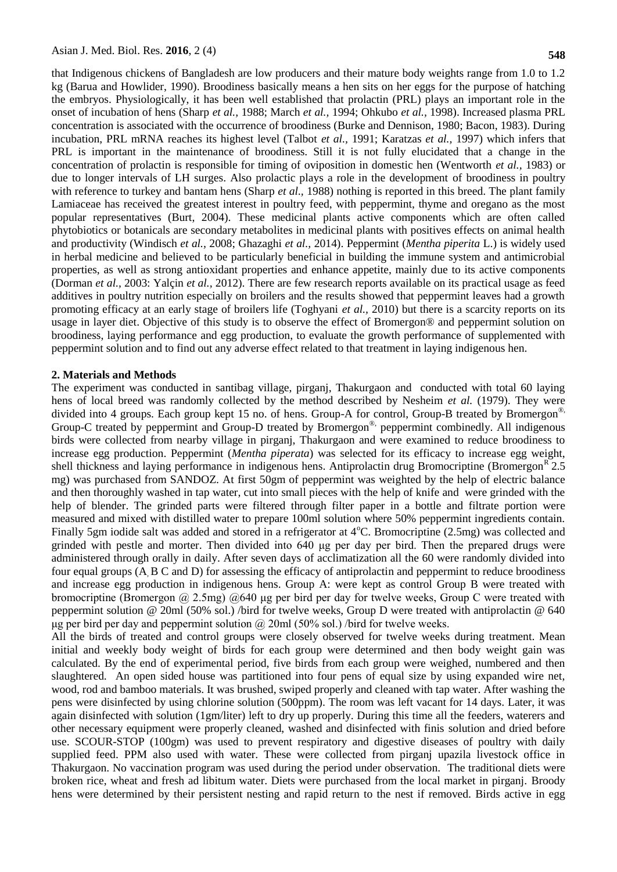that Indigenous chickens of Bangladesh are low producers and their mature body weights range from 1.0 to 1.2 kg (Barua and Howlider, 1990). Broodiness basically means a hen sits on her eggs for the purpose of hatching the embryos. Physiologically, it has been well established that prolactin (PRL) plays an important role in the onset of incubation of hens (Sharp *et al.,* 1988; March *et al.,* 1994; Ohkubo *et al.,* 1998). Increased plasma PRL concentration is associated with the occurrence of broodiness (Burke and Dennison, 1980; Bacon, 1983). During incubation, PRL mRNA reaches its highest level (Talbot *et al.,* 1991; Karatzas *et al.,* 1997) which infers that PRL is important in the maintenance of broodiness. Still it is not fully elucidated that a change in the concentration of prolactin is responsible for timing of oviposition in domestic hen (Wentworth *et al.,* 1983) or due to longer intervals of LH surges. Also prolactic plays a role in the development of broodiness in poultry with reference to turkey and bantam hens (Sharp *et al.,* 1988) nothing is reported in this breed. The plant family Lamiaceae has received the greatest interest in poultry feed, with peppermint, thyme and oregano as the most popular representatives (Burt, 2004). These medicinal plants active components which are often called phytobiotics or botanicals are secondary metabolites in medicinal plants with positives effects on animal health and productivity (Windisch *et al.,* 2008; Ghazaghi *et al.,* 2014). Peppermint (*Mentha piperita* L.) is widely used in herbal medicine and believed to be particularly beneficial in building the immune system and antimicrobial properties, as well as strong antioxidant properties and enhance appetite, mainly due to its active components (Dorman *et al.,* 2003: Yalçin *et al.,* 2012). There are few research reports available on its practical usage as feed additives in poultry nutrition especially on broilers and the results showed that peppermint leaves had a growth promoting efficacy at an early stage of broilers life (Toghyani *et al.,* 2010) but there is a scarcity reports on its usage in layer diet. Objective of this study is to observe the effect of Bromergon® and peppermint solution on broodiness, laying performance and egg production, to evaluate the growth performance of supplemented with peppermint solution and to find out any adverse effect related to that treatment in laying indigenous hen.

### **2. Materials and Methods**

The experiment was conducted in santibag village, pirganj, Thakurgaon and conducted with total 60 laying hens of local breed was randomly collected by the method described by Nesheim *et al.* (1979). They were divided into 4 groups. Each group kept 15 no. of hens. Group-A for control, Group-B treated by Bromergon<sup>®,</sup> Group-C treated by peppermint and Group-D treated by Bromergon®, peppermint combinedly. All indigenous birds were collected from nearby village in pirganj, Thakurgaon and were examined to reduce broodiness to increase egg production. Peppermint (*Mentha piperata*) was selected for its efficacy to increase egg weight, shell thickness and laying performance in indigenous hens. Antiprolactin drug Bromocriptine (Bromergon<sup>R</sup> 2.5) mg) was purchased from SANDOZ. At first 50gm of peppermint was weighted by the help of electric balance and then thoroughly washed in tap water, cut into small pieces with the help of knife and were grinded with the help of blender. The grinded parts were filtered through filter paper in a bottle and filtrate portion were measured and mixed with distilled water to prepare 100ml solution where 50% peppermint ingredients contain. Finally 5gm iodide salt was added and stored in a refrigerator at  $4^{\circ}$ C. Bromocriptine (2.5mg) was collected and grinded with pestle and morter. Then divided into 640 μg per day per bird. Then the prepared drugs were administered through orally in daily. After seven days of acclimatization all the 60 were randomly divided into four equal groups (A, B C and D) for assessing the efficacy of antiprolactin and peppermint to reduce broodiness and increase egg production in indigenous hens. Group A: were kept as control Group B were treated with bromocriptine (Bromergon @ 2.5mg) @640 µg per bird per day for twelve weeks, Group C were treated with peppermint solution @ 20ml (50% sol.) /bird for twelve weeks, Group D were treated with antiprolactin @ 640 μg per bird per day and peppermint solution @ 20ml (50% sol.) /bird for twelve weeks.

All the birds of treated and control groups were closely observed for twelve weeks during treatment. Mean initial and weekly body weight of birds for each group were determined and then body weight gain was calculated. By the end of experimental period, five birds from each group were weighed, numbered and then slaughtered. An open sided house was partitioned into four pens of equal size by using expanded wire net, wood, rod and bamboo materials. It was brushed, swiped properly and cleaned with tap water. After washing the pens were disinfected by using chlorine solution (500ppm). The room was left vacant for 14 days. Later, it was again disinfected with solution (1gm/liter) left to dry up properly. During this time all the feeders, waterers and other necessary equipment were properly cleaned, washed and disinfected with finis solution and dried before use. SCOUR-STOP (100gm) was used to prevent respiratory and digestive diseases of poultry with daily supplied feed. PPM also used with water. These were collected from pirganj upazila livestock office in Thakurgaon. No vaccination program was used during the period under observation. The traditional diets were broken rice, wheat and fresh ad libitum water. Diets were purchased from the local market in pirganj. Broody hens were determined by their persistent nesting and rapid return to the nest if removed. Birds active in egg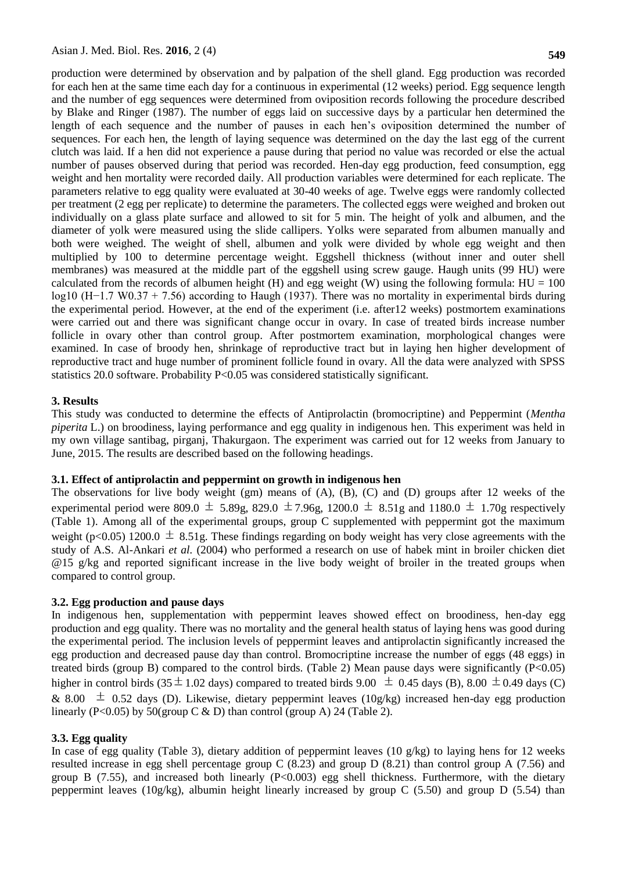production were determined by observation and by palpation of the shell gland. Egg production was recorded for each hen at the same time each day for a continuous in experimental (12 weeks) period. Egg sequence length and the number of egg sequences were determined from oviposition records following the procedure described by Blake and Ringer (1987). The number of eggs laid on successive days by a particular hen determined the length of each sequence and the number of pauses in each hen's oviposition determined the number of sequences. For each hen, the length of laying sequence was determined on the day the last egg of the current clutch was laid. If a hen did not experience a pause during that period no value was recorded or else the actual number of pauses observed during that period was recorded. Hen-day egg production, feed consumption, egg weight and hen mortality were recorded daily. All production variables were determined for each replicate. The parameters relative to egg quality were evaluated at 30-40 weeks of age. Twelve eggs were randomly collected per treatment (2 egg per replicate) to determine the parameters. The collected eggs were weighed and broken out individually on a glass plate surface and allowed to sit for 5 min. The height of yolk and albumen, and the diameter of yolk were measured using the slide callipers. Yolks were separated from albumen manually and both were weighed. The weight of shell, albumen and yolk were divided by whole egg weight and then multiplied by 100 to determine percentage weight. Eggshell thickness (without inner and outer shell membranes) was measured at the middle part of the eggshell using screw gauge. Haugh units (99 HU) were calculated from the records of albumen height (H) and egg weight (W) using the following formula:  $HU = 100$ log10 (H−1.7 W0.37 + 7.56) according to Haugh (1937). There was no mortality in experimental birds during the experimental period. However, at the end of the experiment (i.e. after12 weeks) postmortem examinations were carried out and there was significant change occur in ovary. In case of treated birds increase number follicle in ovary other than control group. After postmortem examination, morphological changes were examined. In case of broody hen, shrinkage of reproductive tract but in laying hen higher development of reproductive tract and huge number of prominent follicle found in ovary. All the data were analyzed with SPSS statistics 20.0 software. Probability P<0.05 was considered statistically significant.

## **3. Results**

This study was conducted to determine the effects of Antiprolactin (bromocriptine) and Peppermint (*Mentha piperita* L.) on broodiness, laying performance and egg quality in indigenous hen. This experiment was held in my own village santibag, pirganj, Thakurgaon. The experiment was carried out for 12 weeks from January to June, 2015. The results are described based on the following headings.

### **3.1. Effect of antiprolactin and peppermint on growth in indigenous hen**

The observations for live body weight (gm) means of (A), (B), (C) and (D) groups after 12 weeks of the experimental period were 809.0  $\pm$  5.89g, 829.0  $\pm$  7.96g, 1200.0  $\pm$  8.51g and 1180.0  $\pm$  1.70g respectively (Table 1). Among all of the experimental groups, group C supplemented with peppermint got the maximum weight (p<0.05) 1200.0  $\pm$  8.51g. These findings regarding on body weight has very close agreements with the study of A.S. Al-Ankari *et al.* (2004) who performed a research on use of habek mint in broiler chicken diet @15 g/kg and reported significant increase in the live body weight of broiler in the treated groups when compared to control group.

### **3.2. Egg production and pause days**

In indigenous hen, supplementation with peppermint leaves showed effect on broodiness, hen-day egg production and egg quality. There was no mortality and the general health status of laying hens was good during the experimental period. The inclusion levels of peppermint leaves and antiprolactin significantly increased the egg production and decreased pause day than control. Bromocriptine increase the number of eggs (48 eggs) in treated birds (group B) compared to the control birds. (Table 2) Mean pause days were significantly (P<0.05) higher in control birds (35  $\pm$  1.02 days) compared to treated birds 9.00  $\pm$  0.45 days (B), 8.00  $\pm$  0.49 days (C) & 8.00  $\pm$  0.52 days (D). Likewise, dietary peppermint leaves (10g/kg) increased hen-day egg production linearly (P<0.05) by 50(group C & D) than control (group A) 24 (Table 2).

## **3.3. Egg quality**

In case of egg quality (Table 3), dietary addition of peppermint leaves (10 g/kg) to laying hens for 12 weeks resulted increase in egg shell percentage group C (8.23) and group D (8.21) than control group A (7.56) and group B (7.55), and increased both linearly (P<0.003) egg shell thickness. Furthermore, with the dietary peppermint leaves (10g/kg), albumin height linearly increased by group C (5.50) and group D (5.54) than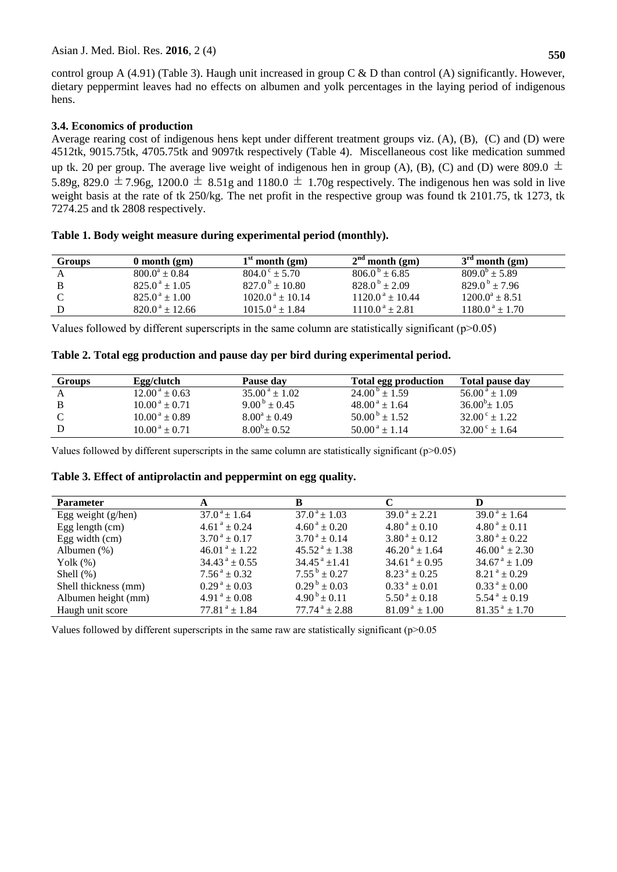control group A (4.91) (Table 3). Haugh unit increased in group C & D than control (A) significantly. However, dietary peppermint leaves had no effects on albumen and yolk percentages in the laying period of indigenous hens.

# **3.4. Economics of production**

Average rearing cost of indigenous hens kept under different treatment groups viz. (A), (B), (C) and (D) were 4512tk, 9015.75tk, 4705.75tk and 9097tk respectively (Table 4). Miscellaneous cost like medication summed up tk. 20 per group. The average live weight of indigenous hen in group (A), (B), (C) and (D) were 809.0  $\pm$ 5.89g, 829.0  $\pm$  7.96g, 1200.0  $\pm$  8.51g and 1180.0  $\pm$  1.70g respectively. The indigenous hen was sold in live weight basis at the rate of tk 250/kg. The net profit in the respective group was found tk 2101.75, tk 1273, tk 7274.25 and tk 2808 respectively.

|  | Table 1. Body weight measure during experimental period (monthly). |  |  |  |
|--|--------------------------------------------------------------------|--|--|--|
|--|--------------------------------------------------------------------|--|--|--|

| <b>Groups</b> | $0$ month $(gm)$             | $1st$ month (gm)                            | $2nd$ month (gm)              | $3rd$ month (gm)                        |
|---------------|------------------------------|---------------------------------------------|-------------------------------|-----------------------------------------|
|               | $800.0^a \pm 0.84$           | $804.0^{\circ} \pm 5.70^{\circ}$            | $806.0^{\circ}$ ± 6.85        | $809.0^{\circ}$ + 5.89                  |
|               | $825.0^{\text{a}} \pm 1.05$  | $827.0^{\mathrm{b}} \pm 10.80^{\mathrm{c}}$ | $828.0^{\mathrm{b}} \pm 2.09$ | $829.0^{\circ} \pm 7.96$                |
|               | $825.0^{\text{a}} \pm 1.00$  | $1020.0^{\text{ a}} \pm 10.14$              | $1120.0^{\text{a}} \pm 10.44$ | $1200.0^a \pm 8.51$                     |
|               | $820.0^{\text{a}} \pm 12.66$ | $1015.0^{\text{a}} \pm 1.84$                | $1110.0^{\text{ a}} \pm 2.81$ | $1180.0^{\text{ a}} \pm 1.70^{\text{}}$ |

Values followed by different superscripts in the same column are statistically significant  $(p>0.05)$ 

| Groups | Egg/clutch                   | Pause day                    | <b>Total egg production</b>      | Total pause day              |
|--------|------------------------------|------------------------------|----------------------------------|------------------------------|
|        | $12.00^{\text{ a}} \pm 0.63$ | $35.00^{\text{ a}} \pm 1.02$ | $24.00^{\circ} \pm 1.59^{\circ}$ | $56.00^{\text{ a}} \pm 1.09$ |
|        | $10.00^{\text{ a}} \pm 0.71$ | $9.00^{\mathrm{b}} \pm 0.45$ | $48.00^{\text{ a}} \pm 1.64$     | $36.00^{\rm b} \pm 1.05$     |
|        | $10.00^{\text{a}} \pm 0.89$  | $8.00^a \pm 0.49$            | $50.00^{\mathrm{b}} \pm 1.52$    | $32.00^{\circ} \pm 1.22$     |
|        | $10.00^{\text{ a}} \pm 0.71$ | $8.00^{b} \pm 0.52$          | $50.00^{\text{ a}} \pm 1.14$     | $32.00^{\circ}$ ± 1.64       |
|        |                              |                              |                                  |                              |

**Table 2. Total egg production and pause day per bird during experimental period.** 

Values followed by different superscripts in the same column are statistically significant ( $p$  $>$ 0.05)

# **Table 3. Effect of antiprolactin and peppermint on egg quality.**

| <b>Parameter</b>     | A                            | B                               |                              | D                                      |
|----------------------|------------------------------|---------------------------------|------------------------------|----------------------------------------|
| Egg weight $(g/hen)$ | $37.0^{\text{ a}} \pm 1.64$  | $37.0^{\text{ a}} \pm 1.03$     | $39.0^{\text{a}} \pm 2.21$   | $39.0^{\text{a}} \pm 1.64$             |
| Egg length (cm)      | $4.61^a \pm 0.24$            | $4.60^{\text{ a}} \pm 0.20$     | $4.80^{\text{a}} \pm 0.10$   | $4.80^{\text{a}} \pm 0.11$             |
| Egg width $(cm)$     | $3.70^{\text{a}} \pm 0.17$   | $3.70^{\text{ a}} \pm 0.14$     | $3.80^{\text{a}} \pm 0.12$   | $3.80^{\text{a}} \pm 0.22$             |
| Albumen $(\%)$       | $46.01^{\text{ a}} \pm 1.22$ | $45.52^{\text{a}} \pm 1.38$     | $46.20^{\text{a}} \pm 1.64$  | $46.00^{\text{ a}} \pm 2.30^{\text{}}$ |
| Yolk $(\%)$          | $34.43^{\text{a}} \pm 0.55$  | $34.45$ <sup>a</sup> $\pm$ 1.41 | $34.61^{\text{a}} \pm 0.95$  | $34.67^{\text{ a}} \pm 1.09$           |
| Shell $(\%)$         | $7.56^{\text{a}} \pm 0.32$   | $7.55^{\mathrm{b}} \pm 0.27$    | $8.23^{\text{a}} + 0.25$     | $8.21^{\text{a}} \pm 0.29$             |
| Shell thickness (mm) | $0.29^{\text{a}} \pm 0.03$   | $0.29^{\mathrm{b}} \pm 0.03$    | $0.33^{\text{a}} \pm 0.01$   | $0.33^{\text{a}} \pm 0.00$             |
| Albumen height (mm)  | $4.91^{\text{a}} \pm 0.08$   | $4.90^{b} \pm 0.11$             | $5.50^{\text{a}} \pm 0.18$   | $5.54^{\text{a}} \pm 0.19$             |
| Haugh unit score     | $77.81^{\text{a}} \pm 1.84$  | $77.74^{\text{ a}} \pm 2.88$    | $81.09^{\text{ a}} \pm 1.00$ | $81.35^{\text{ a}} \pm 1.70$           |

Values followed by different superscripts in the same raw are statistically significant  $(p>0.05$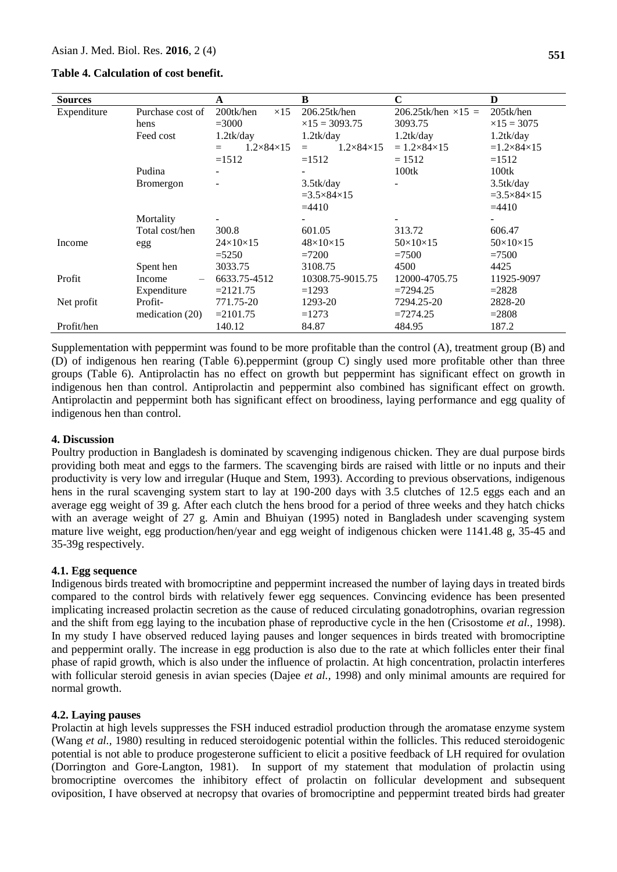## **Table 4. Calculation of cost benefit.**

| <b>Sources</b> |                   | A                            | B                            | C                           | D                      |
|----------------|-------------------|------------------------------|------------------------------|-----------------------------|------------------------|
| Expenditure    | Purchase cost of  | 200tk/hen<br>$\times 15$     | $206.25$ tk/hen              | 206.25tk/hen $\times 15 =$  | 205tk/hen              |
|                | hens              | $= 3000$                     | $\times 15 = 3093.75$        | 3093.75                     | $\times 15 = 3075$     |
|                | Feed cost         | $1.2$ tk/day                 | $1.2$ tk/day                 | $1.2$ tk/day                | $1.2$ tk/day           |
|                |                   | $1.2\times84\times15$<br>$=$ | $1.2\times84\times15$<br>$=$ | $= 1.2 \times 84 \times 15$ | $=1.2\times84\times15$ |
|                |                   | $=1512$                      | $=1512$                      | $= 1512$                    | $=1512$                |
|                | Pudina            |                              |                              | $100$ tk                    | $100$ tk               |
|                | Bromergon         |                              | $3.5$ tk/day                 |                             | $3.5$ tk/day           |
|                |                   |                              | $=3.5\times84\times15$       |                             | $=3.5\times84\times15$ |
|                |                   |                              | $=4410$                      |                             | $=4410$                |
|                | Mortality         |                              |                              |                             |                        |
|                | Total cost/hen    | 300.8                        | 601.05                       | 313.72                      | 606.47                 |
| Income         | egg               | $24\times10\times15$         | $48\times10\times15$         | $50\times10\times15$        | $50\times10\times15$   |
|                |                   | $=5250$                      | $=7200$                      | $= 7500$                    | $= 7500$               |
|                | Spent hen         | 3033.75                      | 3108.75                      | 4500                        | 4425                   |
| Profit         | Income            | 6633.75-4512                 | 10308.75-9015.75             | 12000-4705.75               | 11925-9097             |
|                | Expenditure       | $=2121.75$                   | $=1293$                      | $=7294.25$                  | $=2828$                |
| Net profit     | Profit-           | 771.75-20                    | 1293-20                      | 7294.25-20                  | 2828-20                |
|                | medication $(20)$ | $= 2101.75$                  | $=1273$                      | $=7274.25$                  | $= 2808$               |
| Profit/hen     |                   | 140.12                       | 84.87                        | 484.95                      | 187.2                  |

Supplementation with peppermint was found to be more profitable than the control (A), treatment group (B) and (D) of indigenous hen rearing (Table 6).peppermint (group C) singly used more profitable other than three groups (Table 6). Antiprolactin has no effect on growth but peppermint has significant effect on growth in indigenous hen than control. Antiprolactin and peppermint also combined has significant effect on growth. Antiprolactin and peppermint both has significant effect on broodiness, laying performance and egg quality of indigenous hen than control.

## **4. Discussion**

Poultry production in Bangladesh is dominated by scavenging indigenous chicken. They are dual purpose birds providing both meat and eggs to the farmers. The scavenging birds are raised with little or no inputs and their productivity is very low and irregular (Huque and Stem, 1993). According to previous observations, indigenous hens in the rural scavenging system start to lay at 190-200 days with 3.5 clutches of 12.5 eggs each and an average egg weight of 39 g. After each clutch the hens brood for a period of three weeks and they hatch chicks with an average weight of 27 g. Amin and Bhuiyan (1995) noted in Bangladesh under scavenging system mature live weight, egg production/hen/year and egg weight of indigenous chicken were 1141.48 g, 35-45 and 35-39g respectively.

#### **4.1. Egg sequence**

Indigenous birds treated with bromocriptine and peppermint increased the number of laying days in treated birds compared to the control birds with relatively fewer egg sequences. Convincing evidence has been presented implicating increased prolactin secretion as the cause of reduced circulating gonadotrophins, ovarian regression and the shift from egg laying to the incubation phase of reproductive cycle in the hen (Crisostome *et al.,* 1998). In my study I have observed reduced laying pauses and longer sequences in birds treated with bromocriptine and peppermint orally. The increase in egg production is also due to the rate at which follicles enter their final phase of rapid growth, which is also under the influence of prolactin. At high concentration, prolactin interferes with follicular steroid genesis in avian species (Dajee *et al.,* 1998) and only minimal amounts are required for normal growth.

### **4.2. Laying pauses**

Prolactin at high levels suppresses the FSH induced estradiol production through the aromatase enzyme system (Wang *et al.,* 1980) resulting in reduced steroidogenic potential within the follicles. This reduced steroidogenic potential is not able to produce progesterone sufficient to elicit a positive feedback of LH required for ovulation (Dorrington and Gore-Langton, 1981). In support of my statement that modulation of prolactin using bromocriptine overcomes the inhibitory effect of prolactin on follicular development and subsequent oviposition, I have observed at necropsy that ovaries of bromocriptine and peppermint treated birds had greater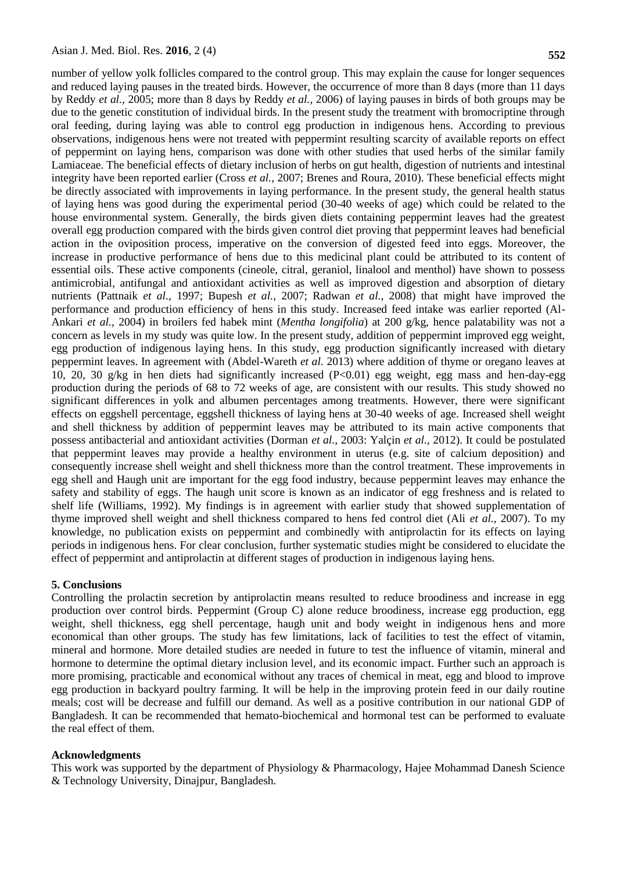number of yellow yolk follicles compared to the control group. This may explain the cause for longer sequences and reduced laying pauses in the treated birds. However, the occurrence of more than 8 days (more than 11 days by Reddy *et al.,* 2005; more than 8 days by Reddy *et al.,* 2006) of laying pauses in birds of both groups may be due to the genetic constitution of individual birds. In the present study the treatment with bromocriptine through oral feeding, during laying was able to control egg production in indigenous hens. According to previous observations, indigenous hens were not treated with peppermint resulting scarcity of available reports on effect of peppermint on laying hens, comparison was done with other studies that used herbs of the similar family Lamiaceae. The beneficial effects of dietary inclusion of herbs on gut health, digestion of nutrients and intestinal integrity have been reported earlier (Cross *et al.,* 2007; Brenes and Roura, 2010). These beneficial effects might be directly associated with improvements in laying performance. In the present study, the general health status of laying hens was good during the experimental period (30-40 weeks of age) which could be related to the house environmental system. Generally, the birds given diets containing peppermint leaves had the greatest overall egg production compared with the birds given control diet proving that peppermint leaves had beneficial action in the oviposition process, imperative on the conversion of digested feed into eggs. Moreover, the increase in productive performance of hens due to this medicinal plant could be attributed to its content of essential oils. These active components (cineole, citral, geraniol, linalool and menthol) have shown to possess antimicrobial, antifungal and antioxidant activities as well as improved digestion and absorption of dietary nutrients (Pattnaik *et al.,* 1997; Bupesh *et al.,* 2007; Radwan *et al.,* 2008) that might have improved the performance and production efficiency of hens in this study. Increased feed intake was earlier reported (Al-Ankari *et al.,* 2004) in broilers fed habek mint (*Mentha longifolia*) at 200 g/kg, hence palatability was not a concern as levels in my study was quite low. In the present study, addition of peppermint improved egg weight, egg production of indigenous laying hens. In this study, egg production significantly increased with dietary peppermint leaves. In agreement with (Abdel-Wareth *et al.* 2013) where addition of thyme or oregano leaves at 10, 20, 30 g/kg in hen diets had significantly increased (P<0.01) egg weight, egg mass and hen-day-egg production during the periods of 68 to 72 weeks of age, are consistent with our results. This study showed no significant differences in yolk and albumen percentages among treatments. However, there were significant effects on eggshell percentage, eggshell thickness of laying hens at 30-40 weeks of age. Increased shell weight and shell thickness by addition of peppermint leaves may be attributed to its main active components that possess antibacterial and antioxidant activities (Dorman *et al.,* 2003: Yalçin *et al.,* 2012). It could be postulated that peppermint leaves may provide a healthy environment in uterus (e.g. site of calcium deposition) and consequently increase shell weight and shell thickness more than the control treatment. These improvements in egg shell and Haugh unit are important for the egg food industry, because peppermint leaves may enhance the safety and stability of eggs. The haugh unit score is known as an indicator of egg freshness and is related to shelf life (Williams, 1992). My findings is in agreement with earlier study that showed supplementation of thyme improved shell weight and shell thickness compared to hens fed control diet (Ali *et al.,* 2007). To my knowledge, no publication exists on peppermint and combinedly with antiprolactin for its effects on laying periods in indigenous hens. For clear conclusion, further systematic studies might be considered to elucidate the effect of peppermint and antiprolactin at different stages of production in indigenous laying hens.

#### **5. Conclusions**

Controlling the prolactin secretion by antiprolactin means resulted to reduce broodiness and increase in egg production over control birds. Peppermint (Group C) alone reduce broodiness, increase egg production, egg weight, shell thickness, egg shell percentage, haugh unit and body weight in indigenous hens and more economical than other groups. The study has few limitations, lack of facilities to test the effect of vitamin, mineral and hormone. More detailed studies are needed in future to test the influence of vitamin, mineral and hormone to determine the optimal dietary inclusion level, and its economic impact. Further such an approach is more promising, practicable and economical without any traces of chemical in meat, egg and blood to improve egg production in backyard poultry farming. It will be help in the improving protein feed in our daily routine meals; cost will be decrease and fulfill our demand. As well as a positive contribution in our national GDP of Bangladesh. It can be recommended that hemato-biochemical and hormonal test can be performed to evaluate the real effect of them.

#### **Acknowledgments**

This work was supported by the department of Physiology & Pharmacology, Hajee Mohammad Danesh Science & Technology University, Dinajpur, Bangladesh.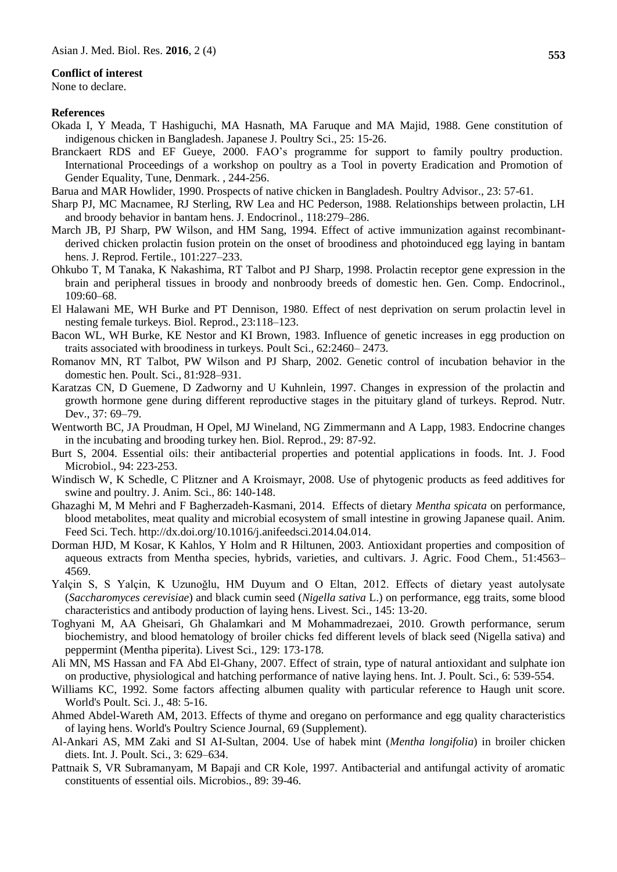### **Conflict of interest**

None to declare.

#### **References**

- Okada I, Y Meada, T Hashiguchi, MA Hasnath, MA Faruque and MA Majid, 1988. Gene constitution of indigenous chicken in Bangladesh. Japanese J. Poultry Sci., 25: 15-26.
- Branckaert RDS and EF Gueye, 2000. FAO's programme for support to family poultry production. International Proceedings of a workshop on poultry as a Tool in poverty Eradication and Promotion of Gender Equality, Tune, Denmark. , 244-256.
- Barua and MAR Howlider, 1990. Prospects of native chicken in Bangladesh. Poultry Advisor., 23: 57-61.
- Sharp PJ, MC Macnamee, RJ Sterling, RW Lea and HC Pederson, 1988. Relationships between prolactin, LH and broody behavior in bantam hens. J. Endocrinol., 118:279–286.
- March JB, PJ Sharp, PW Wilson, and HM Sang, 1994. Effect of active immunization against recombinantderived chicken prolactin fusion protein on the onset of broodiness and photoinduced egg laying in bantam hens. J. Reprod. Fertile., 101:227–233.
- Ohkubo T, M Tanaka, K Nakashima, RT Talbot and PJ Sharp, 1998. Prolactin receptor gene expression in the brain and peripheral tissues in broody and nonbroody breeds of domestic hen. Gen. Comp. Endocrinol., 109:60–68.
- El Halawani ME, WH Burke and PT Dennison, 1980. Effect of nest deprivation on serum prolactin level in nesting female turkeys. Biol. Reprod., 23:118–123.
- Bacon WL, WH Burke, KE Nestor and KI Brown, 1983. Influence of genetic increases in egg production on traits associated with broodiness in turkeys. Poult Sci., 62:2460– 2473.
- Romanov MN, RT Talbot, PW Wilson and PJ Sharp, 2002. Genetic control of incubation behavior in the domestic hen. Poult. Sci., 81:928–931.
- Karatzas CN, D Guemene, D Zadworny and U Kuhnlein, 1997. Changes in expression of the prolactin and growth hormone gene during different reproductive stages in the pituitary gland of turkeys. Reprod. Nutr. Dev., 37: 69–79.
- Wentworth BC, JA Proudman, H Opel, MJ Wineland, NG Zimmermann and A Lapp, 1983. Endocrine changes in the incubating and brooding turkey hen. Biol. Reprod., 29: 87-92.
- Burt S, 2004. Essential oils: their antibacterial properties and potential applications in foods. Int. J. Food Microbiol., 94: 223-253.
- Windisch W, K Schedle, C Plitzner and A Kroismayr, 2008. Use of phytogenic products as feed additives for swine and poultry. J. Anim. Sci., 86: 140-148.
- Ghazaghi M, M Mehri and F Bagherzadeh-Kasmani, 2014. Effects of dietary *Mentha spicata* on performance, blood metabolites, meat quality and microbial ecosystem of small intestine in growing Japanese quail. Anim. Feed Sci. Tech. [http://dx.doi.org/10.1016/j.anifeedsci.2014.04.014.](http://dx.doi.org/10.1016/j.anifeedsci.2014.04.014)
- Dorman HJD, M Kosar, K Kahlos, Y Holm and R Hiltunen, 2003. Antioxidant properties and composition of aqueous extracts from Mentha species, hybrids, varieties, and cultivars. J. Agric. Food Chem., 51:4563– 4569.
- Yalçin S, S Yalçin, K Uzunoğlu, HM Duyum and O Eltan, 2012. Effects of dietary yeast autolysate (*Saccharomyces cerevisiae*) and black cumin seed (*Nigella sativa* L.) on performance, egg traits, some blood characteristics and antibody production of laying hens. Livest. Sci., 145: 13-20.
- Toghyani M, AA Gheisari, Gh Ghalamkari and M Mohammadrezaei, 2010. Growth performance, serum biochemistry, and blood hematology of broiler chicks fed different levels of black seed (Nigella sativa) and peppermint (Mentha piperita). Livest Sci., 129: 173-178.
- Ali MN, MS Hassan and FA Abd El-Ghany, 2007. Effect of strain, type of natural antioxidant and sulphate ion on productive, physiological and hatching performance of native laying hens. Int. J. Poult. Sci., 6: 539-554.
- Williams KC, 1992. Some factors affecting albumen quality with particular reference to Haugh unit score. World's Poult. Sci. J., 48: 5-16.
- Ahmed Abdel-Wareth AM, 2013. Effects of thyme and oregano on performance and egg quality characteristics of laying hens[. World's Poultry Science Journal,](http://www.researchgate.net/journal/0043-9339_Worlds_Poultry_Science_Journal) 69 (Supplement).
- Al-Ankari AS, MM Zaki and SI AI-Sultan, 2004. Use of habek mint (*Mentha longifolia*) in broiler chicken diets. Int. J. Poult. Sci., 3: 629–634.
- Pattnaik S, VR Subramanyam, M Bapaji and CR Kole, 1997. Antibacterial and antifungal activity of aromatic constituents of essential oils. Microbios., 89: 39-46.